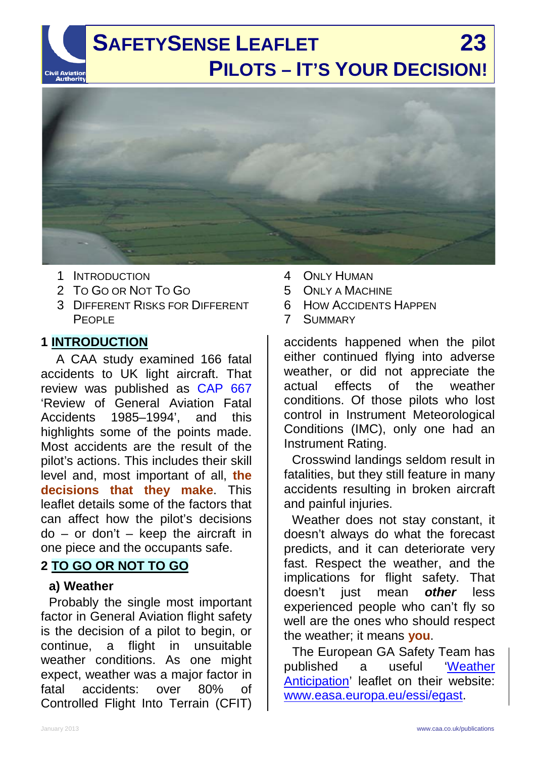

- 1 INTRODUCTION
- 2 TO GO OR NOT TO GO
- 3 DIFFERENT RISKS FOR DIFFERENT P<sub>FOPL</sub>E

## **1 INTRODUCTION**

A CAA study examined 166 fatal accidents to UK light aircraft. That review was published as [CAP 667](http://www.caa.co.uk/cap667) 'Review of General Aviation Fatal Accidents 1985–1994', and this highlights some of the points made. Most accidents are the result of the pilot's actions. This includes their skill level and, most important of all, **the decisions that they make**. This leaflet details some of the factors that can affect how the pilot's decisions  $do - or don't - keep the aircraft in$ one piece and the occupants safe.

## **2 TO GO OR NOT TO GO**

#### **a) Weather**

Probably the single most important factor in General Aviation flight safety is the decision of a pilot to begin, or continue, a flight in unsuitable weather conditions. As one might expect, weather was a major factor in fatal accidents: over 80% of Controlled Flight Into Terrain (CFIT)

- 4 ONLY HUMAN
- 5 ONLY A MACHINE
- 6 HOW ACCIDENTS HAPPEN
- 7 SUMMARY

accidents happened when the pilot either continued flying into adverse weather, or did not appreciate the actual effects of the weather conditions. Of those pilots who lost control in Instrument Meteorological Conditions (IMC), only one had an Instrument Rating.

Crosswind landings seldom result in fatalities, but they still feature in many accidents resulting in broken aircraft and painful injuries.

Weather does not stay constant, it doesn't always do what the forecast predicts, and it can deteriorate very fast. Respect the weather, and the implications for flight safety. That doesn't just mean *other* less experienced people who can't fly so well are the ones who should respect the weather; it means **you**.

The European GA Safety Team has published a useful ['Weather](http://easa.europa.eu/essi/egast/2012/02/ga3/)  [Anticipation'](http://easa.europa.eu/essi/egast/2012/02/ga3/) leaflet on their website: www.easa.europa.eu/essi/egast.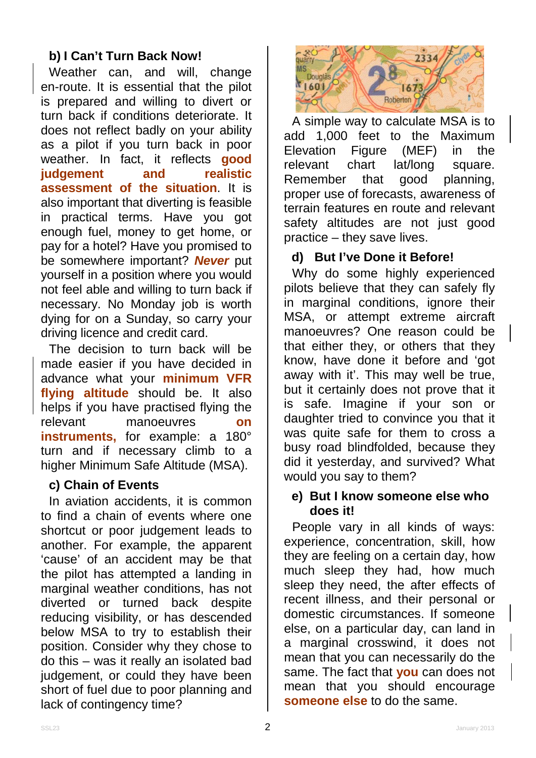## **b) I Can't Turn Back Now!**

Weather can, and will, change en-route. It is essential that the pilot is prepared and willing to divert or turn back if conditions deteriorate. It does not reflect badly on your ability as a pilot if you turn back in poor weather. In fact, it reflects **good judgement assessment of the situation**. It is also important that diverting is feasible in practical terms. Have you got enough fuel, money to get home, or pay for a hotel? Have you promised to be somewhere important? *Never* put yourself in a position where you would not feel able and willing to turn back if necessary. No Monday job is worth dying for on a Sunday, so carry your driving licence and credit card.

The decision to turn back will be made easier if you have decided in advance what your **minimum VFR flying altitude** should be. It also helps if you have practised flying the relevant manoeuvres **on instruments,** for example: a 180° turn and if necessary climb to a higher Minimum Safe Altitude (MSA).

#### **c) Chain of Events**

In aviation accidents, it is common to find a chain of events where one shortcut or poor judgement leads to another. For example, the apparent 'cause' of an accident may be that the pilot has attempted a landing in marginal weather conditions, has not diverted or turned back despite reducing visibility, or has descended below MSA to try to establish their position. Consider why they chose to do this – was it really an isolated bad judgement, or could they have been short of fuel due to poor planning and lack of contingency time?



A simple way to calculate MSA is to add 1,000 feet to the Maximum Elevation Figure (MEF) in the relevant chart lat/long square. Remember that good planning, proper use of forecasts, awareness of terrain features en route and relevant safety altitudes are not just good practice – they save lives.

#### **d) But I've Done it Before!**

Why do some highly experienced pilots believe that they can safely fly in marginal conditions, ignore their MSA, or attempt extreme aircraft manoeuvres? One reason could be that either they, or others that they know, have done it before and 'got away with it'. This may well be true, but it certainly does not prove that it is safe. Imagine if your son or daughter tried to convince you that it was quite safe for them to cross a busy road blindfolded, because they did it yesterday, and survived? What would you say to them?

#### **e) But I know someone else who does it!**

People vary in all kinds of ways: experience, concentration, skill, how they are feeling on a certain day, how much sleep they had, how much sleep they need, the after effects of recent illness, and their personal or domestic circumstances. If someone else, on a particular day, can land in a marginal crosswind, it does not mean that you can necessarily do the same. The fact that **you** can does not mean that you should encourage **someone else** to do the same.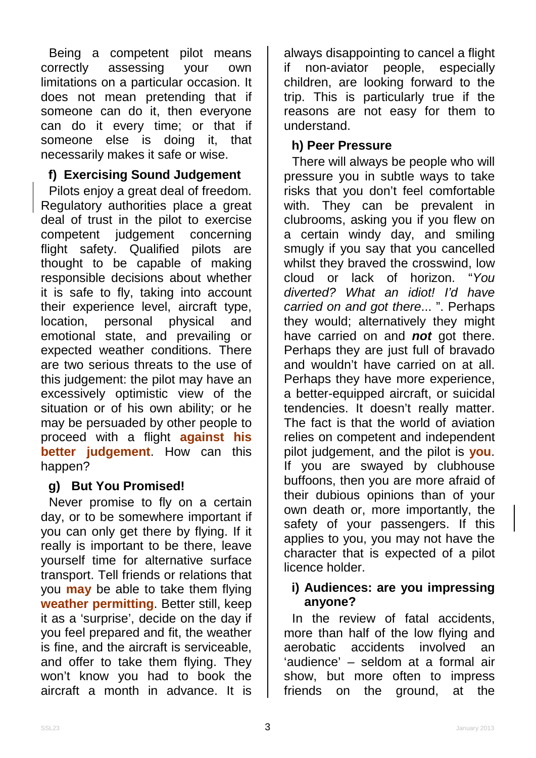Being a competent pilot means<br>correctly assessing your own assessing your own limitations on a particular occasion. It does not mean pretending that if someone can do it, then everyone can do it every time; or that if someone else is doing it, that necessarily makes it safe or wise.

## **f) Exercising Sound Judgement**

Pilots enjoy a great deal of freedom. Regulatory authorities place a great deal of trust in the pilot to exercise competent judgement concerning flight safety. Qualified pilots are thought to be capable of making responsible decisions about whether it is safe to fly, taking into account their experience level, aircraft type, location, personal physical and emotional state, and prevailing or expected weather conditions. There are two serious threats to the use of this judgement: the pilot may have an excessively optimistic view of the situation or of his own ability; or he may be persuaded by other people to proceed with a flight **against his better judgement**. How can this happen?

## **g) But You Promised!**

Never promise to fly on a certain day, or to be somewhere important if you can only get there by flying. If it really is important to be there, leave yourself time for alternative surface transport. Tell friends or relations that you **may** be able to take them flying **weather permitting**. Better still, keep it as a 'surprise', decide on the day if you feel prepared and fit, the weather is fine, and the aircraft is serviceable, and offer to take them flying. They won't know you had to book the aircraft a month in advance. It is

always disappointing to cancel a flight if non-aviator people, especially children, are looking forward to the trip. This is particularly true if the reasons are not easy for them to understand.

#### **h) Peer Pressure**

There will always be people who will pressure you in subtle ways to take risks that you don't feel comfortable with. They can be prevalent in clubrooms, asking you if you flew on a certain windy day, and smiling smugly if you say that you cancelled whilst they braved the crosswind, low cloud or lack of horizon. "*You diverted? What an idiot! I'd have carried on and got there*... ". Perhaps they would; alternatively they might have carried on and *not* got there. Perhaps they are just full of bravado and wouldn't have carried on at all. Perhaps they have more experience, a better-equipped aircraft, or suicidal tendencies. It doesn't really matter. The fact is that the world of aviation relies on competent and independent pilot judgement, and the pilot is **you**. If you are swayed by clubhouse buffoons, then you are more afraid of their dubious opinions than of your own death or, more importantly, the safety of your passengers. If this applies to you, you may not have the character that is expected of a pilot licence holder.

#### **i) Audiences: are you impressing anyone?**

In the review of fatal accidents, more than half of the low flying and aerobatic accidents involved an 'audience' – seldom at a formal air show, but more often to impress friends on the ground, at the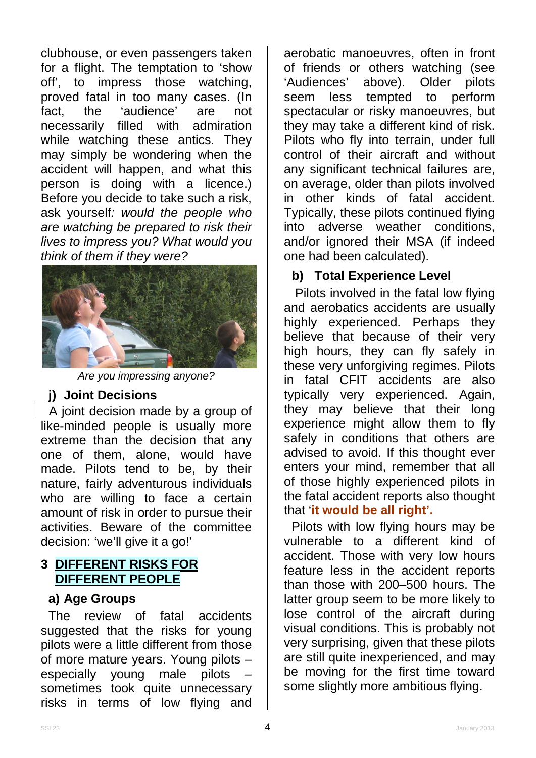clubhouse, or even passengers taken for a flight. The temptation to 'show off', to impress those watching, proved fatal in too many cases. (In fact, the 'audience' are not necessarily filled with admiration while watching these antics. They may simply be wondering when the accident will happen, and what this person is doing with a licence.) Before you decide to take such a risk, ask yourself*: would the people who are watching be prepared to risk their lives to impress you? What would you think of them if they were?*



*Are you impressing anyone?*

#### **j) Joint Decisions**

A joint decision made by a group of like-minded people is usually more extreme than the decision that any one of them, alone, would have made. Pilots tend to be, by their nature, fairly adventurous individuals who are willing to face a certain amount of risk in order to pursue their activities. Beware of the committee decision: 'we'll give it a go!'

## **3 DIFFERENT RISKS FOR DIFFERENT PEOPLE**

#### **a) Age Groups**

The review of fatal accidents suggested that the risks for young pilots were a little different from those of more mature years. Young pilots – especially young male pilots – sometimes took quite unnecessary risks in terms of low flying and

aerobatic manoeuvres, often in front of friends or others watching (see<br>'Audiences' above). Older pilots 'Audiences' above). Older seem less tempted to perform spectacular or risky manoeuvres, but they may take a different kind of risk. Pilots who fly into terrain, under full control of their aircraft and without any significant technical failures are, on average, older than pilots involved in other kinds of fatal accident. Typically, these pilots continued flying into adverse weather conditions, and/or ignored their MSA (if indeed one had been calculated).

# **b) Total Experience Level**

Pilots involved in the fatal low flying and aerobatics accidents are usually highly experienced. Perhaps they believe that because of their very high hours, they can fly safely in these very unforgiving regimes. Pilots in fatal CFIT accidents are also typically very experienced. Again, they may believe that their long experience might allow them to fly safely in conditions that others are advised to avoid. If this thought ever enters your mind, remember that all of those highly experienced pilots in the fatal accident reports also thought that '**it would be all right'.**

Pilots with low flying hours may be vulnerable to a different kind of accident. Those with very low hours feature less in the accident reports than those with 200–500 hours. The latter group seem to be more likely to lose control of the aircraft during visual conditions. This is probably not very surprising, given that these pilots are still quite inexperienced, and may be moving for the first time toward some slightly more ambitious flying.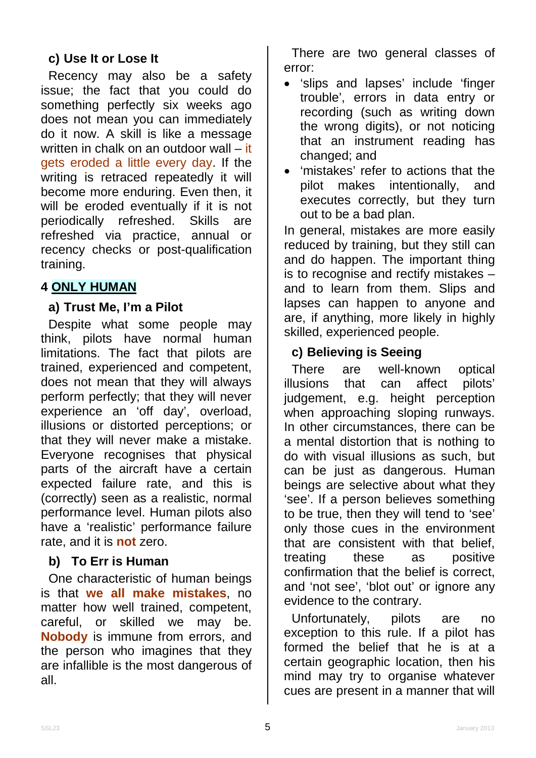# **c) Use It or Lose It**

Recency may also be a safety issue; the fact that you could do something perfectly six weeks ago does not mean you can immediately do it now. A skill is like a message written in chalk on an outdoor wall – it gets eroded a little every day. If the writing is retraced repeatedly it will become more enduring. Even then, it will be eroded eventually if it is not periodically refreshed. Skills are refreshed via practice, annual or recency checks or post-qualification training.

# **4 ONLY HUMAN**

## **a) Trust Me, I'm a Pilot**

Despite what some people may think, pilots have normal human limitations. The fact that pilots are trained, experienced and competent, does not mean that they will always perform perfectly; that they will never experience an 'off day', overload, illusions or distorted perceptions; or that they will never make a mistake. Everyone recognises that physical parts of the aircraft have a certain expected failure rate, and this is (correctly) seen as a realistic, normal performance level. Human pilots also have a 'realistic' performance failure rate, and it is **not** zero.

#### **b) To Err is Human**

One characteristic of human beings is that **we all make mistakes**, no matter how well trained, competent, careful, or skilled we may be. **Nobody** is immune from errors, and the person who imagines that they are infallible is the most dangerous of all.

There are two general classes of error:

- 'slips and lapses' include 'finger trouble', errors in data entry or recording (such as writing down the wrong digits), or not noticing that an instrument reading has changed; and
- 'mistakes' refer to actions that the pilot makes intentionally, and executes correctly, but they turn out to be a bad plan.

In general, mistakes are more easily reduced by training, but they still can and do happen. The important thing is to recognise and rectify mistakes – and to learn from them. Slips and lapses can happen to anyone and are, if anything, more likely in highly skilled, experienced people.

## **c) Believing is Seeing**

There are well-known optical illusions that can affect pilots' judgement, e.g. height perception when approaching sloping runways. In other circumstances, there can be a mental distortion that is nothing to do with visual illusions as such, but can be just as dangerous. Human beings are selective about what they 'see'. If a person believes something to be true, then they will tend to 'see' only those cues in the environment that are consistent with that belief, treating these as positive confirmation that the belief is correct, and 'not see', 'blot out' or ignore any evidence to the contrary.

Unfortunately, pilots are no exception to this rule. If a pilot has formed the belief that he is at a certain geographic location, then his mind may try to organise whatever cues are present in a manner that will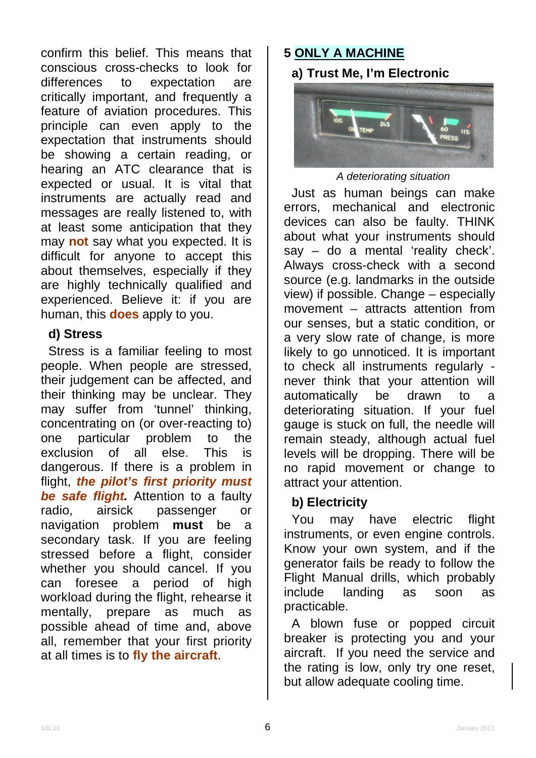confirm this belief. This means that conscious cross-checks to look for differences to expectation are critically important, and frequently a feature of aviation procedures. This principle can even apply to the expectation that instruments should be showing a certain reading, or hearing an ATC clearance that is expected or usual. It is vital that instruments are actually read and messages are really listened to, with at least some anticipation that they may **not** say what you expected. It is difficult for anyone to accept this about themselves, especially if they are highly technically qualified and experienced. Believe it: if you are human, this **does** apply to you.

#### **d) Stress**

Stress is a familiar feeling to most people. When people are stressed, their judgement can be affected, and their thinking may be unclear. They may suffer from 'tunnel' thinking, concentrating on (or over-reacting to) one particular problem to the exclusion of all else. This is dangerous. If there is a problem in flight, *the pilot's first priority must be safe flight.* Attention to a faulty radio, airsick passenger or navigation problem **must** be a secondary task. If you are feeling stressed before a flight, consider whether you should cancel. If you can foresee a period of high workload during the flight, rehearse it mentally, prepare as much as possible ahead of time and, above all, remember that your first priority at all times is to **fly the aircraft**.

## **5 ONLY A MACHINE**

**a) Trust Me, I'm Electronic**



#### *A deteriorating situation*

Just as human beings can make errors, mechanical and electronic devices can also be faulty. THINK about what your instruments should say – do a mental 'reality check'. Always cross-check with a second source (e.g. landmarks in the outside view) if possible. Change – especially movement – attracts attention from our senses, but a static condition, or a very slow rate of change, is more likely to go unnoticed. It is important to check all instruments regularly never think that your attention will automatically be drawn to a deteriorating situation. If your fuel gauge is stuck on full, the needle will remain steady, although actual fuel levels will be dropping. There will be no rapid movement or change to attract your attention.

## **b) Electricity**

You may have electric flight instruments, or even engine controls. Know your own system, and if the generator fails be ready to follow the Flight Manual drills, which probably include landing as soon as practicable.

A blown fuse or popped circuit breaker is protecting you and your aircraft. If you need the service and the rating is low, only try one reset, but allow adequate cooling time.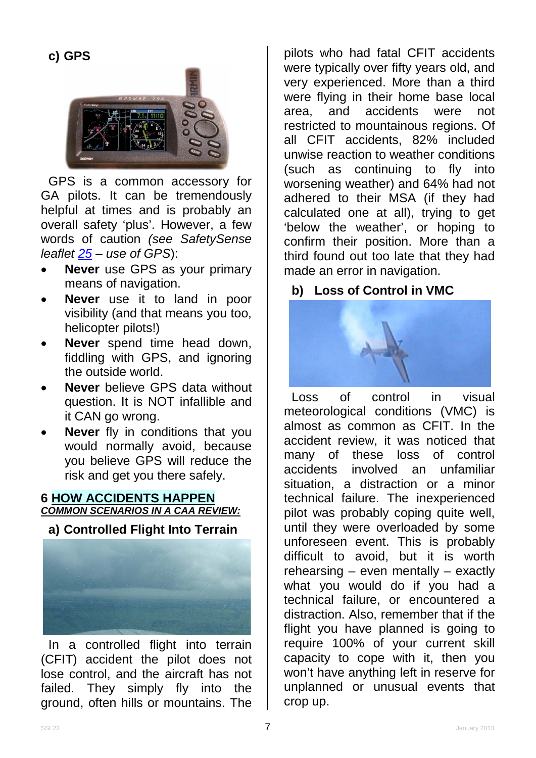

GPS is a common accessory for GA pilots. It can be tremendously helpful at times and is probably an overall safety 'plus'. However, a few words of caution *(see SafetySense leaflet [25](http://www.caa.co.uk/safetysenseleaflet25) – use of GPS*):

- **Never** use GPS as your primary means of navigation.
- **Never** use it to land in poor visibility (and that means you too, helicopter pilots!)
- **Never** spend time head down, fiddling with GPS, and ignoring the outside world.
- **Never** believe GPS data without question. It is NOT infallible and it CAN go wrong.
- **Never** fly in conditions that you would normally avoid, because you believe GPS will reduce the risk and get you there safely.

#### **6 HOW ACCIDENTS HAPPEN** *COMMON SCENARIOS IN A CAA REVIEW:*

# **a) Controlled Flight Into Terrain**



In a controlled flight into terrain (CFIT) accident the pilot does not lose control, and the aircraft has not failed. They simply fly into the ground, often hills or mountains. The

pilots who had fatal CFIT accidents were typically over fifty years old, and very experienced. More than a third were flying in their home base local area, and accidents were not restricted to mountainous regions. Of all CFIT accidents, 82% included unwise reaction to weather conditions (such as continuing to fly into worsening weather) and 64% had not adhered to their MSA (if they had calculated one at all), trying to get 'below the weather', or hoping to confirm their position. More than a third found out too late that they had made an error in navigation.

# **b) Loss of Control in VMC**



Loss of control in visual meteorological conditions (VMC) is almost as common as CFIT. In the accident review, it was noticed that many of these loss of control accidents involved an unfamiliar situation, a distraction or a minor technical failure. The inexperienced pilot was probably coping quite well, until they were overloaded by some unforeseen event. This is probably difficult to avoid, but it is worth rehearsing – even mentally – exactly what you would do if you had a technical failure, or encountered a distraction. Also, remember that if the flight you have planned is going to require 100% of your current skill capacity to cope with it, then you won't have anything left in reserve for unplanned or unusual events that crop up.